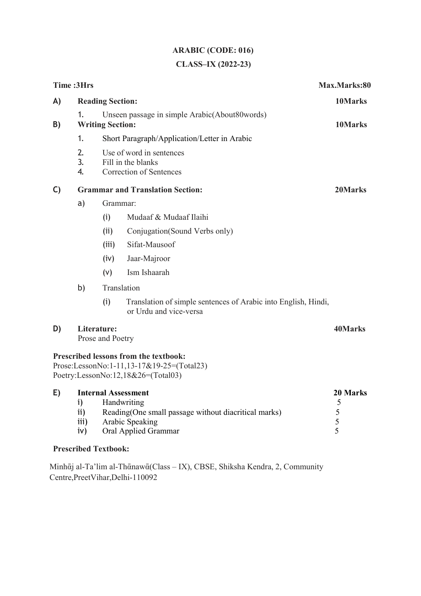## **ARABIC (CODE: 016)**

#### **CLASS–IX (2022-23)**

| <b>Time:3Hrs</b><br>Max.Marks:80 |                                                                                |                                                                                                                                               |                                                                                                                          |  |  |  |
|----------------------------------|--------------------------------------------------------------------------------|-----------------------------------------------------------------------------------------------------------------------------------------------|--------------------------------------------------------------------------------------------------------------------------|--|--|--|
| A)                               |                                                                                | <b>Reading Section:</b>                                                                                                                       |                                                                                                                          |  |  |  |
| B)                               | 1.<br>Unseen passage in simple Arabic(About80words)<br><b>Writing Section:</b> |                                                                                                                                               |                                                                                                                          |  |  |  |
|                                  | 1.                                                                             | Short Paragraph/Application/Letter in Arabic                                                                                                  |                                                                                                                          |  |  |  |
|                                  | 2.<br>3.<br>4.                                                                 | Use of word in sentences<br>Fill in the blanks<br><b>Correction of Sentences</b>                                                              |                                                                                                                          |  |  |  |
| C)                               |                                                                                | <b>Grammar and Translation Section:</b>                                                                                                       |                                                                                                                          |  |  |  |
|                                  | a)                                                                             | Grammar:                                                                                                                                      |                                                                                                                          |  |  |  |
|                                  |                                                                                | (i)                                                                                                                                           | Mudaaf & Mudaaf Ilaihi                                                                                                   |  |  |  |
|                                  |                                                                                | (ii)                                                                                                                                          | Conjugation (Sound Verbs only)                                                                                           |  |  |  |
|                                  |                                                                                | (iii)                                                                                                                                         | Sifat-Mausoof                                                                                                            |  |  |  |
|                                  |                                                                                | (iv)                                                                                                                                          | Jaar-Majroor                                                                                                             |  |  |  |
|                                  |                                                                                | (v)                                                                                                                                           | Ism Ishaarah                                                                                                             |  |  |  |
|                                  | b)                                                                             | Translation                                                                                                                                   |                                                                                                                          |  |  |  |
|                                  |                                                                                | (i)                                                                                                                                           | Translation of simple sentences of Arabic into English, Hindi,<br>or Urdu and vice-versa                                 |  |  |  |
| D)                               |                                                                                | Literature:<br>Prose and Poetry                                                                                                               |                                                                                                                          |  |  |  |
|                                  |                                                                                |                                                                                                                                               | Prescribed lessons from the textbook:<br>Prose:LessonNo:1-11,13-17&19-25=(Total23)<br>Poetry:LessonNo:12,18&26=(Total03) |  |  |  |
| E)                               | $\mathbf{i}$<br>$\mathbf{ii}$<br>iii)<br>iv)                                   | <b>Internal Assessment</b><br>Handwriting<br>Reading (One small passage without diacritical marks)<br>Arabic Speaking<br>Oral Applied Grammar |                                                                                                                          |  |  |  |

## **Prescribed Textbook:**

Minhᾱj al-Ta'lim al-Thᾱnawᾱ(Class – IX), CBSE, Shiksha Kendra, 2, Community Centre,PreetVihar,Delhi-110092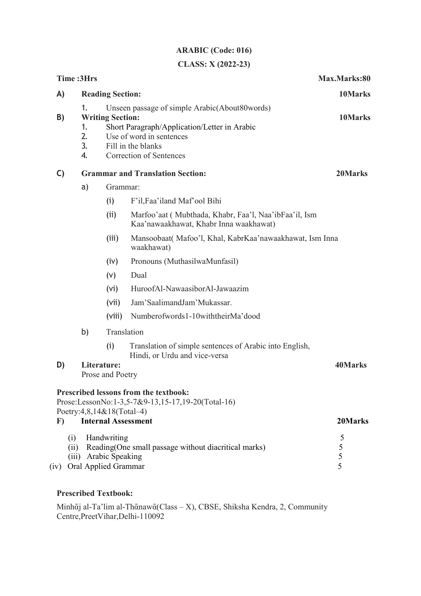# **ARABIC (Code: 016)**

### **CLASS: X (2022-23)**

| Max.Marks:80<br><b>Time:3Hrs</b>                                                                                                                                     |                                         |                                                                                                                                                                                                       |                                                                                                 |         |  |  |
|----------------------------------------------------------------------------------------------------------------------------------------------------------------------|-----------------------------------------|-------------------------------------------------------------------------------------------------------------------------------------------------------------------------------------------------------|-------------------------------------------------------------------------------------------------|---------|--|--|
| A)                                                                                                                                                                   | <b>Reading Section:</b>                 | 10Marks                                                                                                                                                                                               |                                                                                                 |         |  |  |
| B)                                                                                                                                                                   | 1.<br>1.<br>2.<br>3.<br>4.              | Unseen passage of simple Arabic(About80words)<br><b>Writing Section:</b><br>Short Paragraph/Application/Letter in Arabic<br>Use of word in sentences<br>Fill in the blanks<br>Correction of Sentences |                                                                                                 |         |  |  |
| C)                                                                                                                                                                   | <b>Grammar and Translation Section:</b> | 20 Marks                                                                                                                                                                                              |                                                                                                 |         |  |  |
|                                                                                                                                                                      | a)                                      | Grammar:                                                                                                                                                                                              |                                                                                                 |         |  |  |
|                                                                                                                                                                      |                                         | (i)                                                                                                                                                                                                   | F'il, Faa'iland Maf'ool Bihi                                                                    |         |  |  |
|                                                                                                                                                                      |                                         | (ii)                                                                                                                                                                                                  | Marfoo'aat (Mubthada, Khabr, Faa'l, Naa'ibFaa'il, Ism<br>Kaa'nawaakhawat, Khabr Inna waakhawat) |         |  |  |
|                                                                                                                                                                      |                                         | (iii)                                                                                                                                                                                                 | Mansoobaat(Mafoo'l, Khal, KabrKaa'nawaakhawat, Ism Inna<br>waakhawat)                           |         |  |  |
|                                                                                                                                                                      |                                         | (iv)                                                                                                                                                                                                  | Pronouns (MuthasilwaMunfasil)                                                                   |         |  |  |
|                                                                                                                                                                      |                                         | (v)                                                                                                                                                                                                   | Dual                                                                                            |         |  |  |
|                                                                                                                                                                      |                                         | (vi)                                                                                                                                                                                                  | HuroofAl-NawaasiborAl-Jawaazim                                                                  |         |  |  |
|                                                                                                                                                                      |                                         | (vii)                                                                                                                                                                                                 | Jam'SaalimandJam'Mukassar.                                                                      |         |  |  |
|                                                                                                                                                                      |                                         | (viii)                                                                                                                                                                                                | Numberofwords1-10withtheirMa'dood                                                               |         |  |  |
|                                                                                                                                                                      | b)                                      |                                                                                                                                                                                                       | Translation                                                                                     |         |  |  |
|                                                                                                                                                                      |                                         | (i)                                                                                                                                                                                                   | Translation of simple sentences of Arabic into English,<br>Hindi, or Urdu and vice-versa        |         |  |  |
| D)                                                                                                                                                                   | Literature:<br>Prose and Poetry         | 40Marks                                                                                                                                                                                               |                                                                                                 |         |  |  |
|                                                                                                                                                                      |                                         | Poetry:4,8,14&18(Total-4)                                                                                                                                                                             | Prescribed lessons from the textbook:<br>Prose:LessonNo:1-3,5-7&9-13,15-17,19-20(Total-16)      |         |  |  |
| $\bf{F})$                                                                                                                                                            |                                         |                                                                                                                                                                                                       | <b>Internal Assessment</b>                                                                      | 20Marks |  |  |
| Handwriting<br>5<br>(i)<br>$rac{5}{5}$<br>Reading(One small passage without diacritical marks)<br>(ii)<br>(iii) Arabic Speaking<br>5<br>Oral Applied Grammar<br>(iv) |                                         |                                                                                                                                                                                                       |                                                                                                 |         |  |  |

#### **Prescribed Textbook:**

Minhᾱj al-Ta'lim al-Thᾱnawᾱ(Class – X), CBSE, Shiksha Kendra, 2, Community Centre,PreetVihar,Delhi-110092